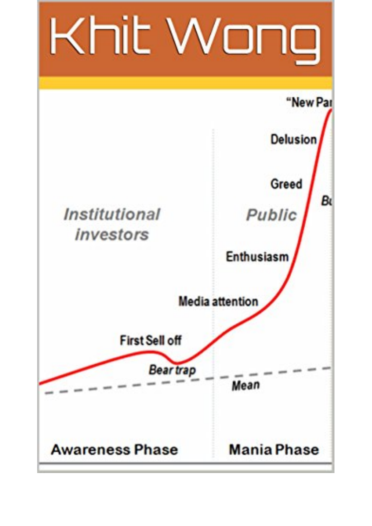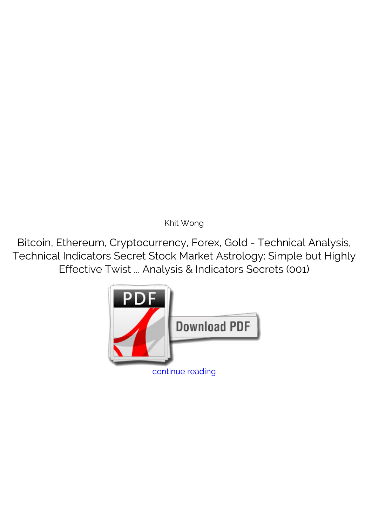*Khit Wong*

**Bitcoin, Ethereum, Cryptocurrency, Forex, Gold - Technical Analysis, Technical Indicators Secret Stock Market Astrology: Simple but Highly Effective Twist ... Analysis & Indicators Secrets (001)**

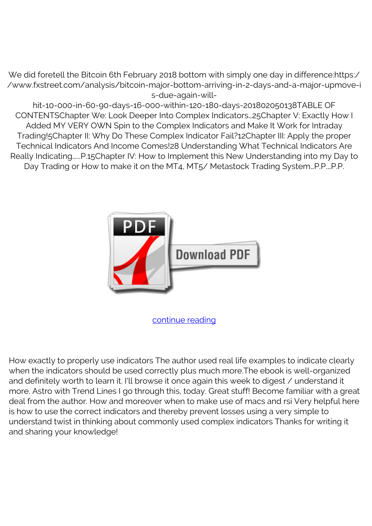We did foretell the Bitcoin 6th February 2018 bottom with simply one day in difference:https:/ /www.fxstreet.com/analysis/bitcoin-major-bottom-arriving-in-2-days-and-a-major-upmove-i s-due-again-will-

hit-10-000-in-60-90-days-16-000-within-120-180-days-201802050138TABLE OF CONTENTSChapter We: Look Deeper Into Complex Indicators…25Chapter V: Exactly How I Added MY VERY OWN Spin to the Complex Indicators and Make It Work for Intraday Trading!5Chapter II: Why Do These Complex Indicator Fail?12Chapter III: Apply the proper Technical Indicators And Income Comes!28 Understanding What Technical Indicators Are Really Indicating…...P.15Chapter IV: How to Implement this New Understanding into my Day to Day Trading or How to make it on the MT4, MT5/ Metastock Trading System...P.P....P.P.



[continue reading](http://bit.ly/2Tge8Fv)

How exactly to properly use indicators The author used real life examples to indicate clearly when the indicators should be used correctly plus much more.The ebook is well-organized and definitely worth to learn it. I'll browse it once again this week to digest / understand it more. Astro with Trend Lines I go through this, today. Great stuff! Become familiar with a great deal from the author. How and moreover when to make use of macs and rsi Very helpful here is how to use the correct indicators and thereby prevent losses using a very simple to understand twist in thinking about commonly used complex indicators Thanks for writing it and sharing your knowledge!